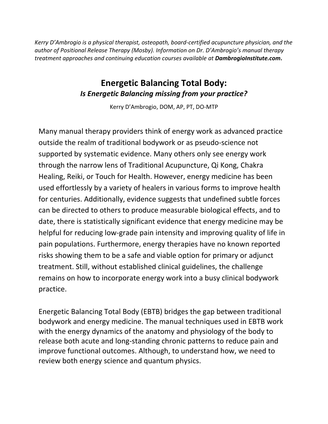*Kerry D'Ambrogio is a physical therapist, osteopath, board-certified acupuncture physician, and the author of Positional Release Therapy (Mosby). Information on Dr. D'Ambrogio's manual therapy treatment approaches and continuing education courses available at DambrogioInstitute.com***.**

## **Energetic Balancing Total Body:** *Is Energetic Balancing missing from your practice?*

Kerry D'Ambrogio, DOM, AP, PT, DO-MTP

Many manual therapy providers think of energy work as advanced practice outside the realm of traditional bodywork or as pseudo-science not supported by systematic evidence. Many others only see energy work through the narrow lens of Traditional Acupuncture, Qi Kong, Chakra Healing, Reiki, or Touch for Health. However, energy medicine has been used effortlessly by a variety of healers in various forms to improve health for centuries. Additionally, evidence suggests that undefined subtle forces can be directed to others to produce measurable biological effects, and to date, there is statistically significant evidence that energy medicine may be helpful for reducing low-grade pain intensity and improving quality of life in pain populations. Furthermore, energy therapies have no known reported risks showing them to be a safe and viable option for primary or adjunct treatment. Still, without established clinical guidelines, the challenge remains on how to incorporate energy work into a busy clinical bodywork practice.

Energetic Balancing Total Body (EBTB) bridges the gap between traditional bodywork and energy medicine. The manual techniques used in EBTB work with the energy dynamics of the anatomy and physiology of the body to release both acute and long-standing chronic patterns to reduce pain and improve functional outcomes. Although, to understand how, we need to review both energy science and quantum physics.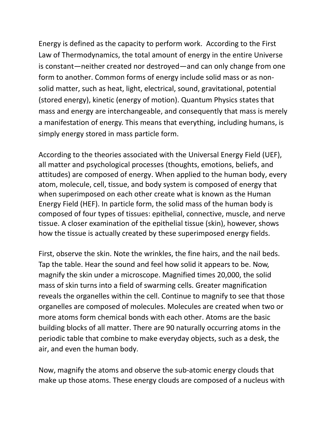Energy is defined as the capacity to perform work. According to the First Law of Thermodynamics, the total amount of energy in the entire Universe is constant—neither created nor destroyed—and can only change from one form to another. Common forms of energy include solid mass or as nonsolid matter, such as heat, light, electrical, sound, gravitational, potential (stored energy), kinetic (energy of motion). Quantum Physics states that mass and energy are interchangeable, and consequently that mass is merely a manifestation of energy. This means that everything, including humans, is simply energy stored in mass particle form.

According to the theories associated with the Universal Energy Field (UEF), all matter and psychological processes (thoughts, emotions, beliefs, and attitudes) are composed of energy. When applied to the human body, every atom, molecule, cell, tissue, and body system is composed of energy that when superimposed on each other create what is known as the Human Energy Field (HEF). In particle form, the solid mass of the human body is composed of four types of tissues: epithelial, connective, muscle, and nerve tissue. A closer examination of the epithelial tissue (skin), however, shows how the tissue is actually created by these superimposed energy fields.

First, observe the skin. Note the wrinkles, the fine hairs, and the nail beds. Tap the table. Hear the sound and feel how solid it appears to be. Now, magnify the skin under a microscope. Magnified times 20,000, the solid mass of skin turns into a field of swarming cells. Greater magnification reveals the organelles within the cell. Continue to magnify to see that those organelles are composed of molecules. Molecules are created when two or more atoms form chemical bonds with each other. Atoms are the basic building blocks of all matter. There are 90 naturally occurring atoms in the periodic table that combine to make everyday objects, such as a desk, the air, and even the human body.

Now, magnify the atoms and observe the sub-atomic energy clouds that make up those atoms. These energy clouds are composed of a nucleus with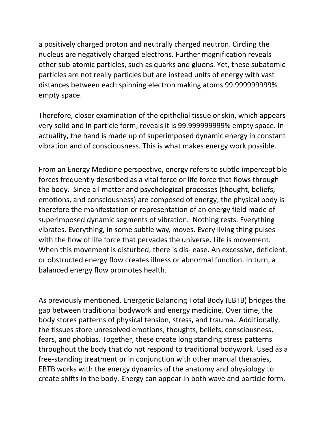a positively charged proton and neutrally charged neutron. Circling the nucleus are negatively charged electrons. Further magnification reveals other sub-atomic particles, such as quarks and gluons. Yet, these subatomic particles are not really particles but are instead units of energy with vast distances between each spinning electron making atoms 99.999999999% empty space.

Therefore, closer examination of the epithelial tissue or skin, which appears very solid and in particle form, reveals it is 99.999999999% empty space. In actuality, the hand is made up of superimposed dynamic energy in constant vibration and of consciousness. This is what makes energy work possible.

From an Energy Medicine perspective, energy refers to subtle imperceptible forces frequently described as a vital force or life force that flows through the body. Since all matter and psychological processes (thought, beliefs, emotions, and consciousness) are composed of energy, the physical body is therefore the manifestation or representation of an energy field made of superimposed dynamic segments of vibration. Nothing rests. Everything vibrates. Everything, in some subtle way, moves. Every living thing pulses with the flow of life force that pervades the universe. Life is movement. When this movement is disturbed, there is dis- ease. An excessive, deficient, or obstructed energy flow creates illness or abnormal function. In turn, a balanced energy flow promotes health.

As previously mentioned, Energetic Balancing Total Body (EBTB) bridges the gap between traditional bodywork and energy medicine. Over time, the body stores patterns of physical tension, stress, and trauma. Additionally, the tissues store unresolved emotions, thoughts, beliefs, consciousness, fears, and phobias. Together, these create long standing stress patterns throughout the body that do not respond to traditional bodywork. Used as a free-standing treatment or in conjunction with other manual therapies, EBTB works with the energy dynamics of the anatomy and physiology to create shifts in the body. Energy can appear in both wave and particle form.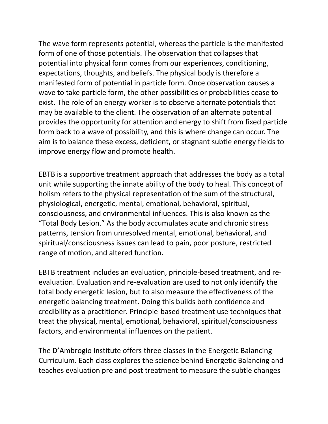The wave form represents potential, whereas the particle is the manifested form of one of those potentials. The observation that collapses that potential into physical form comes from our experiences, conditioning, expectations, thoughts, and beliefs. The physical body is therefore a manifested form of potential in particle form. Once observation causes a wave to take particle form, the other possibilities or probabilities cease to exist. The role of an energy worker is to observe alternate potentials that may be available to the client. The observation of an alternate potential provides the opportunity for attention and energy to shift from fixed particle form back to a wave of possibility, and this is where change can occur. The aim is to balance these excess, deficient, or stagnant subtle energy fields to improve energy flow and promote health.

EBTB is a supportive treatment approach that addresses the body as a total unit while supporting the innate ability of the body to heal. This concept of holism refers to the physical representation of the sum of the structural, physiological, energetic, mental, emotional, behavioral, spiritual, consciousness, and environmental influences. This is also known as the "Total Body Lesion." As the body accumulates acute and chronic stress patterns, tension from unresolved mental, emotional, behavioral, and spiritual/consciousness issues can lead to pain, poor posture, restricted range of motion, and altered function.

EBTB treatment includes an evaluation, principle-based treatment, and reevaluation. Evaluation and re-evaluation are used to not only identify the total body energetic lesion, but to also measure the effectiveness of the energetic balancing treatment. Doing this builds both confidence and credibility as a practitioner. Principle-based treatment use techniques that treat the physical, mental, emotional, behavioral, spiritual/consciousness factors, and environmental influences on the patient.

The D'Ambrogio Institute offers three classes in the Energetic Balancing Curriculum. Each class explores the science behind Energetic Balancing and teaches evaluation pre and post treatment to measure the subtle changes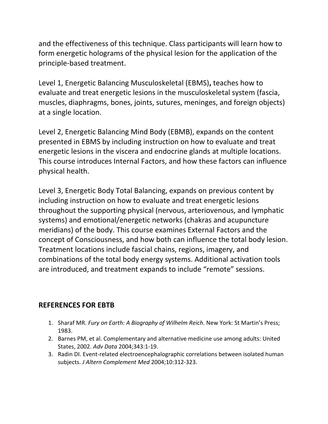and the effectiveness of this technique. Class participants will learn how to form energetic holograms of the physical lesion for the application of the principle-based treatment.

Level 1, Energetic Balancing Musculoskeletal (EBMS)**,** teaches how to evaluate and treat energetic lesions in the musculoskeletal system (fascia, muscles, diaphragms, bones, joints, sutures, meninges, and foreign objects) at a single location.

Level 2, Energetic Balancing Mind Body (EBMB), expands on the content presented in EBMS by including instruction on how to evaluate and treat energetic lesions in the viscera and endocrine glands at multiple locations. This course introduces Internal Factors, and how these factors can influence physical health.

Level 3, Energetic Body Total Balancing, expands on previous content by including instruction on how to evaluate and treat energetic lesions throughout the supporting physical (nervous, arteriovenous, and lymphatic systems) and emotional/energetic networks (chakras and acupuncture meridians) of the body. This course examines External Factors and the concept of Consciousness, and how both can influence the total body lesion. Treatment locations include fascial chains, regions, imagery, and combinations of the total body energy systems. Additional activation tools are introduced, and treatment expands to include "remote" sessions.

## **REFERENCES FOR EBTB**

- 1. Sharaf MR. *Fury on Earth: A Biography of Wilhelm Reich.* New York: St Martin's Press; 1983.
- 2. Barnes PM, et al. Complementary and alternative medicine use among adults: United States, 2002. *Adv Data* 2004;343:1-19.
- 3. Radin DI. Event-related electroencephalographic correlations between isolated human subjects. *J Altern Complement Med* 2004;10:312-323.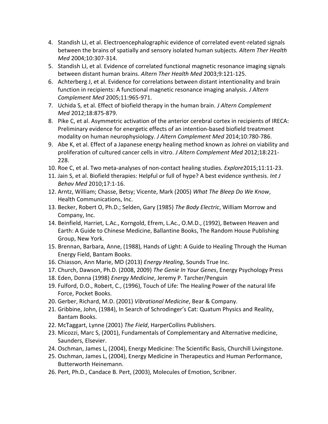- 4. Standish LJ, et al. Electroencephalographic evidence of correlated event-related signals between the brains of spatially and sensory isolated human subjects. *Altern Ther Health Med* 2004;10:307-314.
- 5. Standish LJ, et al. Evidence of correlated functional magnetic resonance imaging signals between distant human brains. *Altern Ther Health Med* 2003;9:121-125.
- 6. Achterberg J, et al. Evidence for correlations between distant intentionality and brain function in recipients: A functional magnetic resonance imaging analysis. *J Altern Complement Med* 2005;11:965-971.
- 7. Uchida S, et al. Effect of biofield therapy in the human brain. *J Altern Complement Med* 2012;18:875-879.
- 8. Pike C, et al. Asymmetric activation of the anterior cerebral cortex in recipients of IRECA: Preliminary evidence for energetic effects of an intention-based biofield treatment modality on human neurophysiology. *J Altern Complement Med* 2014;10:780-786.
- 9. Abe K, et al. Effect of a Japanese energy healing method known as Johrei on viability and proliferation of cultured cancer cells in vitro. *J Altern Complement Med* 2012;18:221- 228.
- 10. Roe C, et al. Two meta-analyses of non-contact healing studies. *Explore*2015;11:11-23.
- 11. Jain S, et al. Biofield therapies: Helpful or full of hype? A best evidence synthesis. *Int J Behav Med* 2010;17:1-16.
- 12. Arntz, William; Chasse, Betsy; Vicente, Mark (2005) *What The Bleep Do We Know*, Health Communications, Inc.
- 13. Becker, Robert O, Ph.D.; Selden, Gary (1985) *The Body Electric*, William Morrow and Company, Inc.
- 14. Beinfield, Harriet, L.Ac., Korngold, Efrem, L.Ac., O.M.D., (1992), Between Heaven and Earth: A Guide to Chinese Medicine, Ballantine Books, The Random House Publishing Group, New York.
- 15. Brennan, Barbara, Anne, (1988), Hands of Light: A Guide to Healing Through the Human Energy Field, Bantam Books.
- 16. Chiasson, Ann Marie, MD (2013) *Energy Healing*, Sounds True Inc.
- 17. Church, Dawson, Ph.D. (2008, 2009) *The Genie In Your Genes*, Energy Psychology Press
- 18. Eden, Donna (1998) *Energy Medicine*, Jeremy P. Tarcher/Penguin
- 19. Fulford, D.O., Robert, C., (1996), Touch of Life: The Healing Power of the natural life Force, Pocket Books.
- 20. Gerber, Richard, M.D. (2001) *Vibrational Medicine*, Bear & Company.
- 21. Gribbine, John, (1984), In Search of Schrodinger's Cat: Quatum Physics and Reality, Bantam Books.
- 22. McTaggart, Lynne (2001) *The Field*, HarperCollins Publishers.
- 23. Micozzi, Marc S, (2001), Fundamentals of Complementary and Alternative medicine, Saunders, Elsevier.
- 24. Oschman, James L, (2004), Energy Medicine: The Scientific Basis, Churchill Livingstone.
- 25. Oschman, James L, (2004), Energy Medicine in Therapeutics and Human Performance, Butterworth Heinemann.
- 26. Pert, Ph.D., Candace B. Pert, (2003), Molecules of Emotion, Scribner.